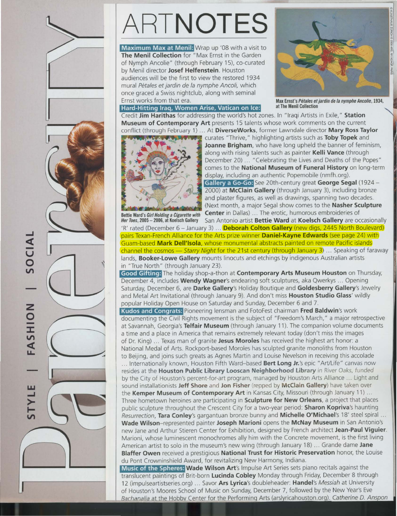

Maximum Max at Menil: Wrap up '08 with a visit to The Menil Collection for "Max Ernst in the Garden of Nymph Ancolie" (through February 15), co-curated by Menil director Josef Helfenstein. Houston audiences will be the first to view the restored 1934 mural Pétales et jardin de la nymphe Ancoli, which once graced a Swiss nightclub, along with seminal Ernst works from that era.<br>
Max Ernst's Pétales et Max Ernst's Pétales et Max Ernst's Pétales et Max Ernst's Pétales et Max Ernst Species

## Hard -Hitting Iraq, Women Arise, Vatican on Ice: at The Menil Collection



Max Ernst's Pétales et jardin de la nymphe Ancolie, 1934,

Credit Jim Harithas for addressing the world's hot zones. In "Iraqi Artists in Exile," Station Museum of Contemporary Art presents 15 talents whose work comments on the current conflict (through February 1) ... At DiverseWorks, former Lawndale director Mary Ross Taylor



curates "Thrive," highlighting artists such as Toby Topek and Joanne Brigham, who have long upheld the banner of feminism, along with rising talents such as painter Kelli Vance (through December 20) ... "Celebrating the Lives and Deaths of the Popes" comes to the National Museum of Funeral History on long-term display, including an authentic Popemobile (nmfh.org). Gallery a Go-Go: See 20th-century great George Segal (1924 -2000) at McClain Gallery (through January 3), including bronze and plaster figures, as well as drawings, spanning two decades. (Next month, a major Segal show comes to the Nasher Sculpture Bettie Ward's Girl Holding a Cigarette with Center in Dallas) ... The erotic, humorous embroideries of

Her Toes, 2005 - 2006, at Koelsch Gallery San Antonio artist Bettie Ward at Koelsch Gallery are occasionally 'R' rated (December 6 - January 3) ... **Deborah Colton Gallery** (new digs, 2445 North Boulevard) pairs Texan-French Alliance for the Arts prize winner **Daniel-Kayne Edwards** (see page 24) with Guam-based Mark Dell'Isola, whose monumental abstracts painted on remote Pacific islands channel the cosmos - Starry Night for the 21st century (through January 3) ... Speaking of faraway lands, **Booker-Lowe Gallery** mounts linocuts and etchings by indigenous Australian artists in "True North" (through January 23).

Good Gifting: The holiday shop-a-thon at Contemporary Arts Museum Houston on Thursday, December 4, includes Wendy Wagner's endearing soft sculptures, aka Qwerkys ... Opening Saturday, December 6, are Darke Gallery's Holiday Boutique and Goldesberry Gallery's Jewelry and Metal Art Invitational (through January 9). And don't miss **Houston Studio Glass'** wildly popular Holiday Open House on Saturday and Sunday, December 6 and 7.

Kudos and Congrats: Pioneering lensman and FotoFest chairman Fred Baldwin's work documenting the Civil Rights movement is the subject of "Freedom's March," a major retrospective at Savannah, Georgia's Telfair Museum (through January 11). The companion volume documents a time and a place in America that remains extremely relevant today (don't miss the images of Dr. King) ... Texas man of granite Jesus Moroles has received the highest art honor: a National Medal of Arts. Rockport-based Moroles has scu lpted granite monoliths from Houston to Beijing, and joins such greats as Agnes Martin and Louise Nevelson in receiving this accolade

... Internationally known, Houston Fifth Ward-based Bert Long Jr.'s epic "Art/Life" canvas now resides at the Houston Public Library Looscan Neighborhood Library in River Oaks, funded by the City of Houston's percent-for-art program, managed by Houston Arts Alliance ... Light and sound installationists Jeff Shore and Jon Fisher (repped by McClain Gallery) have taken over the Kemper Museum of Contemporary Art in Kansas City, Missouri (through January 11) ... Three hometown heroines are participating in **Sculpture for New Orleans**, a project that places public sculpture throughout the Crescent City for a two-year period: Sharon Kopriva's haunting Resurrection, Tara Conley's gargantuan bronze bunny and Michelle O'Michael's 18' steel spiral ... Wade Wilson-represented painter Joseph Marioni opens the McNay Museum in San Antonio's new Jane and Arthur Stieren Center for Exhibition, designed by French architect Jean-Paul Viguier. Marioni, whose luminescent monochromes ally him with the Concrete movement, is the first living American artist to solo in the museum's new wing (through January 18) ... Grande dame Jane Blaffer Owen received a prestigious National Trust for Historic Preservation honor, the Louise du Pont Crowninshield Award, for revitalizing New Harmony, Indiana.

Music of the Spheres: Wade Wilson Art's Impulse Art Series sets piano recitals against the translucent paintings of Brit-born Lucinda Cobley Monday through Friday, December 8 through 12 (impulseartistseries.org) ... Savor Ars Lyrica's doubleheader: Handel's Messiah at University of Houston's Moores School of Music on Sunday, December 7, followed by the New Year's Eve Bachanalia at the Hobby Center for the Performing Arts (ars)vricahouston . org). Catherine D. Anspon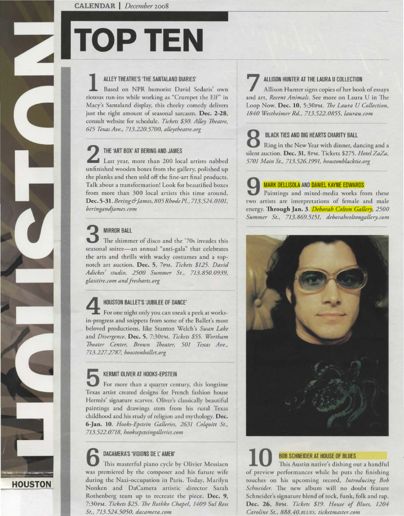# **TOP TEN**

# 1 ALLEY THEATRE'S 'THE SANTALAND DIARIES'

Based on NPR humorist David Sedaris' own riorous run-ins while working as "Crumpet the Elf" in Macy's Sanraland display, this cheeky comedy delivers just the right amount of seasonal sarcasm. Dec. 2-28, consult website for schedule. *Tickets \$30. Alley Theatre*, *615 Texas Ave., 713.220.5700, alleytheatre.org* 

**2** THE 'ART BOX' AT BERING AND JAMES Last year, more than 200 local artists nabbed unfinished wooden boxes from the gallery, polished up the planks and then sold off rhe fine-art final products. Talk about a transformation! Look for beautified boxes from more than 300 local artists this time around. Dec. 5-31. *Bering& james, 805 Rhode Pl., 713.524. OJ 01, beringandjames. com* 

**3** MIRROR BALL<br>The shimmer of disco and the '70s invades this seasonal soiree-an annual "anti-gala" that celebrates the arts and thrills with wacky costumes and a topnotch art auction. Dec. 5, 7PM. *Tickets \$125. David Adickes' studio, 2500 Summer St., 713.850.0939, glasstire.com and Jresharts.org* 

**HOUSTON** ----

HOUSTON BALLET'S 'JUBILEE OF DANCE'<br>For one night only you can sneak a peek at worksin-progress and snippets from some of the Baller's most beloved productions, like Sranron Welch's *Swan Lake*  and *Divergence.* Dec. 5, 7:30PM. *Tickets \$55. Wortham Theater Center, Brown Theater, 501 Texas Ave., 713.227.2787. IJoustonballet.org* 

**5 KERMIT OLIVER AT HOOKS-EPSTEIN**<br>For more than a quarter century, this longtime Texas artist created designs for French fashion house Hermès' signature scarves. Oliver's classically beautiful painrings and drawings stem from his rural Texas childhood and his study of religion and mythology. Dec. 6-Jan. 10. *Hooks-Epstein Galleries, 2631 Colquitt St., 713.522.0718, hooksepsteingalleries. com* 

**6** DACAMERA'S 'VISIONS DE L' AMEN' This masterful piano cycle by Olivier Messiaen was premiered by the composer and his future wife during the Nazi-occupation in Paris. Today, Marilyn Nonken and DaCamera artistic director Sarah Rothenberg team up to recreate the piece. Dec. 9, 7:30PM. *Tickets \$25. The Rothko Chapel, 1409 Sui Ross St., 713.524.5050, dacamern.com* 

## ALLISON HUNTER AT THE LAURA U COLLECTION

Allison Hunter signs copies of her book of essays and art, *Recent Animals.* See more on Laura U in The Loop Now. Dec. 10, 5:30PM. *The Laura U Collection*, *1840 Westheimer Rd., 713.522.0855, laurau.com* 

**8 BLACK TIES AND BIG HEARTS CHARITY BALL**<br>Ring in the New Year with dinner, dancing and a silenr auction. Dec. 31, 8PM. Tickers \$275. *Hotel ZaZa, 5701 Main St., 713.526.1991, houstonblacktie.org* 

# MARK DELLISOLA AND DANIEL KAYNE EDWARDS

Paintings and mixed-media works from these two artists are interpretations of female and male energy. Through Jan. 3. *Deborah Colton Gallery, 2500 Summer St., 713.869.5151, deborahcoltongallery.com* 



# BOB SCHNEIDER AT HOUSE OF BLUES **10** This Austin native's dishing our a handful of preview performances while he puts the finishing touches on his upcoming record, *Introducing Bob Schneider.* The new album will no doubt feature Schneider's signature blend of rock, funk, folk and rap. Dec. 26, 8PM. *Tickets \$19. House of Blues, 1204 Caroline St., 888.40.BLUES, ticketmaster.com*